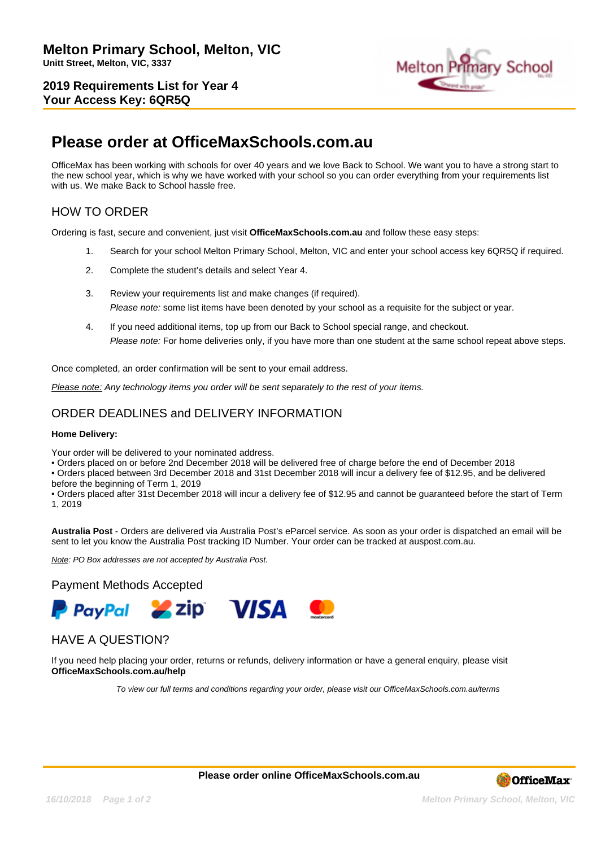**2019 Requirements List for Year 4 Your Access Key: 6QR5Q**



# **Please order at OfficeMaxSchools.com.au**

OfficeMax has been working with schools for over 40 years and we love Back to School. We want you to have a strong start to the new school year, which is why we have worked with your school so you can order everything from your requirements list with us. We make Back to School hassle free.

## HOW TO ORDER

Ordering is fast, secure and convenient, just visit **OfficeMaxSchools.com.au** and follow these easy steps:

- 1. Search for your school Melton Primary School, Melton, VIC and enter your school access key 6QR5Q if required.
- 2. Complete the student's details and select Year 4.
- 3. Review your requirements list and make changes (if required). Please note: some list items have been denoted by your school as a requisite for the subject or year.
- 4. If you need additional items, top up from our Back to School special range, and checkout. Please note: For home deliveries only, if you have more than one student at the same school repeat above steps.

Once completed, an order confirmation will be sent to your email address.

Please note: Any technology items you order will be sent separately to the rest of your items.

### ORDER DEADLINES and DELIVERY INFORMATION

#### **Home Delivery:**

Your order will be delivered to your nominated address.

• Orders placed on or before 2nd December 2018 will be delivered free of charge before the end of December 2018

• Orders placed between 3rd December 2018 and 31st December 2018 will incur a delivery fee of \$12.95, and be delivered before the beginning of Term 1, 2019

• Orders placed after 31st December 2018 will incur a delivery fee of \$12.95 and cannot be guaranteed before the start of Term 1, 2019

**Australia Post** - Orders are delivered via Australia Post's eParcel service. As soon as your order is dispatched an email will be sent to let you know the Australia Post tracking ID Number. Your order can be tracked at auspost.com.au.

Note: PO Box addresses are not accepted by Australia Post.

### Payment Methods Accepted



### HAVE A QUESTION?

If you need help placing your order, returns or refunds, delivery information or have a general enquiry, please visit **OfficeMaxSchools.com.au/help**

To view our full terms and conditions regarding your order, please visit our OfficeMaxSchools.com.au/terms

**Please order online OfficeMaxSchools.com.au**